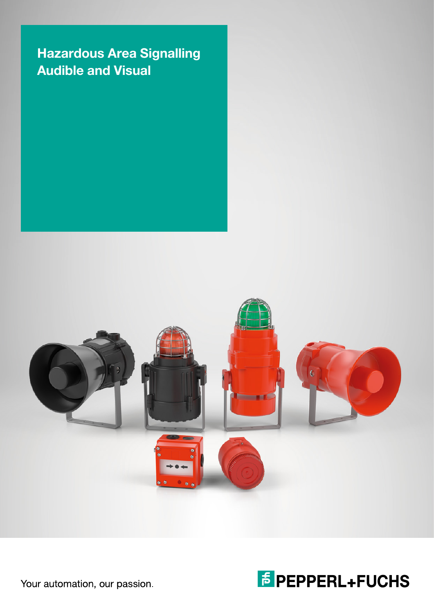## Hazardous Area Signalling Audible and Visual





Your automation, our passion.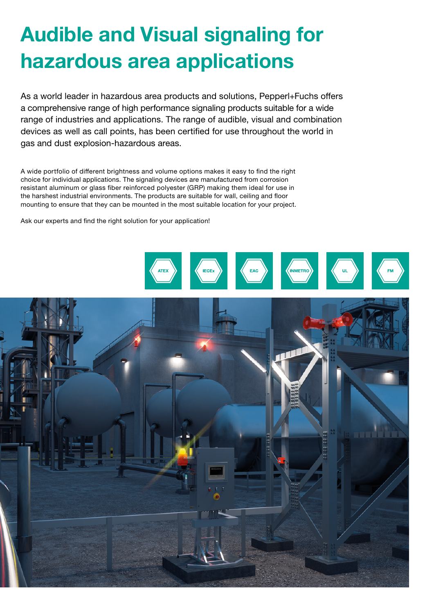# Audible and Visual signaling for hazardous area applications

As a world leader in hazardous area products and solutions, Pepperl+Fuchs offers a comprehensive range of high performance signaling products suitable for a wide range of industries and applications. The range of audible, visual and combination devices as well as call points, has been certified for use throughout the world in gas and dust explosion-hazardous areas.

A wide portfolio of different brightness and volume options makes it easy to find the right choice for individual applications. The signaling devices are manufactured from corrosion resistant aluminum or glass fiber reinforced polyester (GRP) making them ideal for use in the harshest industrial environments. The products are suitable for wall, ceiling and floor mounting to ensure that they can be mounted in the most suitable location for your project.

Ask our experts and find the right solution for your application!

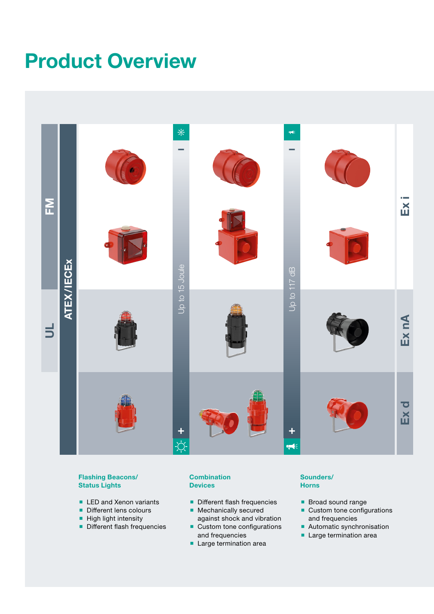# Product Overview



#### Flashing Beacons/ Status Lights

- **LED and Xenon variants**
- Different lens colours
- $\blacksquare$  High light intensity
- Different flash frequencies

#### **Combination Devices**

- **Different flash frequencies**
- **Mechanically secured** against shock and vibration
- Custom tone configurations and frequencies
- **Large termination area**

#### Sounders/ Horns

- **Broad sound range**
- **Custom tone configurations** and frequencies
- Automatic synchronisation
- **Large termination area**